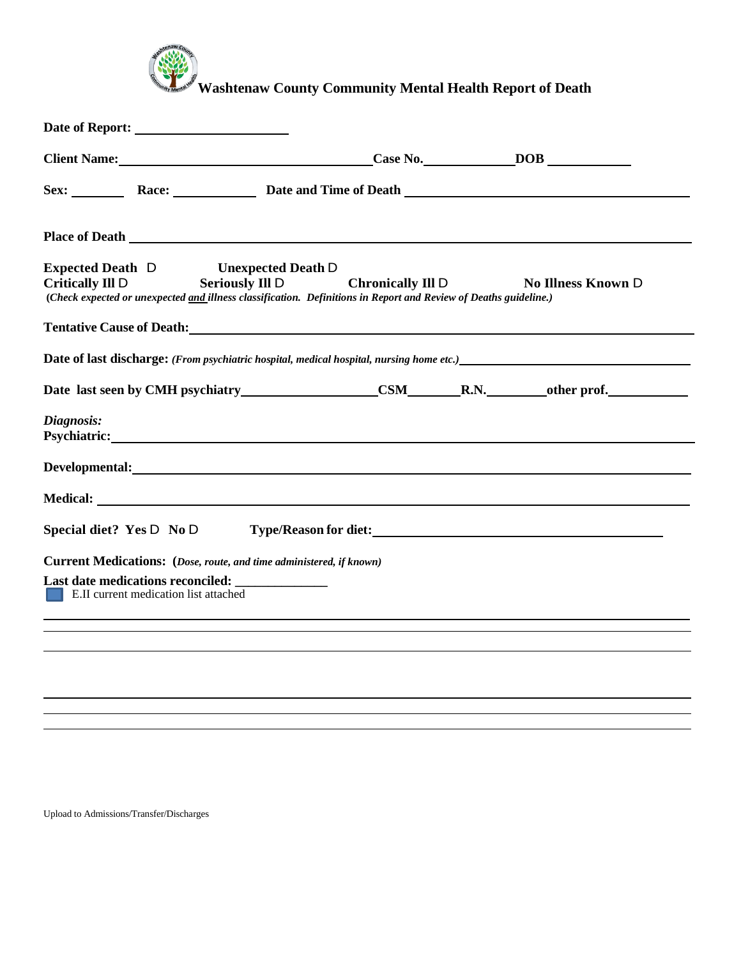

**Washtenaw County Community Mental Health Report of Death**

| Client Name: Client Name: Client Name: Case No. Case No. Case No. 2008                                                                                                                                                               |                          |  |                           |
|--------------------------------------------------------------------------------------------------------------------------------------------------------------------------------------------------------------------------------------|--------------------------|--|---------------------------|
| Sex: Race: Race: Date and Time of Death                                                                                                                                                                                              |                          |  |                           |
| <b>Place of Death</b>                                                                                                                                                                                                                |                          |  |                           |
| <b>Expected Death D</b><br><b>Unexpected Death D</b><br><b>Seriously Ill D</b><br><b>Critically III D</b><br>(Check expected or unexpected and illness classification. Definitions in Report and Review of Deaths guideline.)        | <b>Chronically III D</b> |  | <b>No Illness Known D</b> |
| <b>Tentative Cause of Death:</b> The Cause of Death:                                                                                                                                                                                 |                          |  |                           |
| <b>Date of last discharge:</b> (From psychiatric hospital, medical hospital, nursing home etc.)                                                                                                                                      |                          |  |                           |
| Date last seen by CMH psychiatry CSM R.N. other prof.                                                                                                                                                                                |                          |  |                           |
| Diagnosis:                                                                                                                                                                                                                           |                          |  |                           |
| Developmental: Note and the set of the set of the set of the set of the set of the set of the set of the set of the set of the set of the set of the set of the set of the set of the set of the set of the set of the set of        |                          |  |                           |
| Medical: <u>New York: William School School School School School School School School School School School School School School School School School School School School School School School School School School School Schoo</u> |                          |  |                           |
| Special diet? Yes D No D Type/Reason for diet:                                                                                                                                                                                       |                          |  |                           |
| Current Medications: (Dose, route, and time administered, if known)                                                                                                                                                                  |                          |  |                           |
| <b>E.II</b> current medication list attached                                                                                                                                                                                         |                          |  |                           |
|                                                                                                                                                                                                                                      |                          |  |                           |
|                                                                                                                                                                                                                                      |                          |  |                           |
|                                                                                                                                                                                                                                      |                          |  |                           |
|                                                                                                                                                                                                                                      |                          |  |                           |

Upload to Admissions/Transfer/Discharges